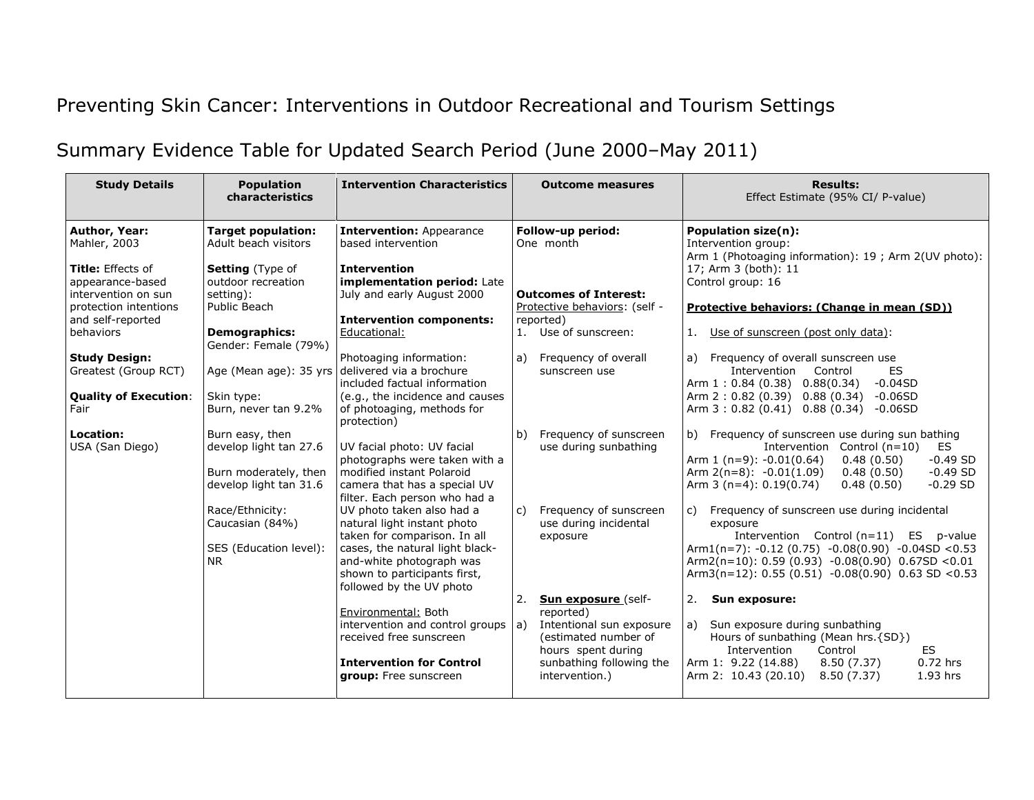## Preventing Skin Cancer: Interventions in Outdoor Recreational and Tourism Settings

## Summary Evidence Table for Updated Search Period (June 2000–May 2011)

| <b>Study Details</b>                                                                                                    | <b>Population</b><br>characteristics                                                                                       | <b>Intervention Characteristics</b>                                                                                                                                                                                 | <b>Outcome measures</b>                                                                                                                                              | <b>Results:</b><br>Effect Estimate (95% CI/ P-value)                                                                                                                                                                                                                          |
|-------------------------------------------------------------------------------------------------------------------------|----------------------------------------------------------------------------------------------------------------------------|---------------------------------------------------------------------------------------------------------------------------------------------------------------------------------------------------------------------|----------------------------------------------------------------------------------------------------------------------------------------------------------------------|-------------------------------------------------------------------------------------------------------------------------------------------------------------------------------------------------------------------------------------------------------------------------------|
| <b>Author, Year:</b><br>Mahler, 2003                                                                                    | <b>Target population:</b><br>Adult beach visitors                                                                          | <b>Intervention: Appearance</b><br>based intervention                                                                                                                                                               | Follow-up period:<br>One month                                                                                                                                       | Population size(n):<br>Intervention group:<br>Arm 1 (Photoaging information): 19 ; Arm 2(UV photo):                                                                                                                                                                           |
| Title: Effects of<br>appearance-based<br>intervention on sun<br>protection intentions<br>and self-reported<br>behaviors | <b>Setting</b> (Type of<br>outdoor recreation<br>setting):<br>Public Beach<br><b>Demographics:</b><br>Gender: Female (79%) | <b>Intervention</b><br>implementation period: Late<br>July and early August 2000<br><b>Intervention components:</b><br>Educational:                                                                                 | <b>Outcomes of Interest:</b><br>Protective behaviors: (self -<br>reported)<br>1. Use of sunscreen:                                                                   | 17; Arm 3 (both): 11<br>Control group: 16<br>Protective behaviors: (Change in mean (SD))<br>Use of sunscreen (post only data):<br>1.                                                                                                                                          |
| <b>Study Design:</b><br>Greatest (Group RCT)<br><b>Quality of Execution:</b><br>Fair                                    | Age (Mean age): 35 yrs<br>Skin type:<br>Burn, never tan 9.2%                                                               | Photoaging information:<br>delivered via a brochure<br>included factual information<br>(e.g., the incidence and causes<br>of photoaging, methods for<br>protection)                                                 | Frequency of overall<br>a)<br>sunscreen use                                                                                                                          | a) Frequency of overall sunscreen use<br><b>ES</b><br>Intervention<br>Control<br>$-0.04SD$<br>Arm $1: 0.84 (0.38) 0.88(0.34)$<br>0.88(0.34)<br>$-0.06SD$<br>Arm 2:0.82 (0.39)<br>$0.88(0.34) -0.06SD$<br>Arm $3:0.82(0.41)$                                                   |
| Location:<br>USA (San Diego)                                                                                            | Burn easy, then<br>develop light tan 27.6<br>Burn moderately, then<br>develop light tan 31.6                               | UV facial photo: UV facial<br>photographs were taken with a<br>modified instant Polaroid<br>camera that has a special UV<br>filter. Each person who had a                                                           | Frequency of sunscreen<br>b)<br>use during sunbathing                                                                                                                | b) Frequency of sunscreen use during sun bathing<br>Intervention<br>Control $(n=10)$<br>ES<br>Arm $1(n=9)$ : $-0.01(0.64)$<br>$-0.49$ SD<br>0.48(0.50)<br>Arm $2(n=8)$ : $-0.01(1.09)$<br>0.48(0.50)<br>$-0.49$ SD<br>Arm $3(n=4): 0.19(0.74)$<br>$-0.29$ SD<br>0.48(0.50)    |
|                                                                                                                         | Race/Ethnicity:<br>Caucasian (84%)<br>SES (Education level):<br><b>NR</b>                                                  | UV photo taken also had a<br>natural light instant photo<br>taken for comparison. In all<br>cases, the natural light black-<br>and-white photograph was<br>shown to participants first,<br>followed by the UV photo | Frequency of sunscreen<br>C)<br>use during incidental<br>exposure                                                                                                    | Frequency of sunscreen use during incidental<br>c)<br>exposure<br>Intervention Control (n=11) ES p-value<br>Arm1(n=7): $-0.12$ (0.75) $-0.08(0.90)$ $-0.04SD < 0.53$<br>Arm2(n=10): 0.59 (0.93) -0.08(0.90) 0.67SD <0.01<br>Arm3(n=12): 0.55 (0.51) -0.08(0.90) 0.63 SD <0.53 |
|                                                                                                                         |                                                                                                                            | Environmental: Both<br>intervention and control groups<br>received free sunscreen<br><b>Intervention for Control</b><br>group: Free sunscreen                                                                       | Sun exposure (self-<br>2.<br>reported)<br>Intentional sun exposure<br>a)<br>(estimated number of<br>hours spent during<br>sunbathing following the<br>intervention.) | 2.<br>Sun exposure:<br>a) Sun exposure during sunbathing<br>Hours of sunbathing (Mean hrs. {SD})<br><b>ES</b><br>Intervention<br>Control<br>$0.72$ hrs<br>Arm 1: 9.22 (14.88)<br>8.50(7.37)<br>Arm 2: 10.43 (20.10)<br>8.50(7.37)<br>1.93 hrs                                 |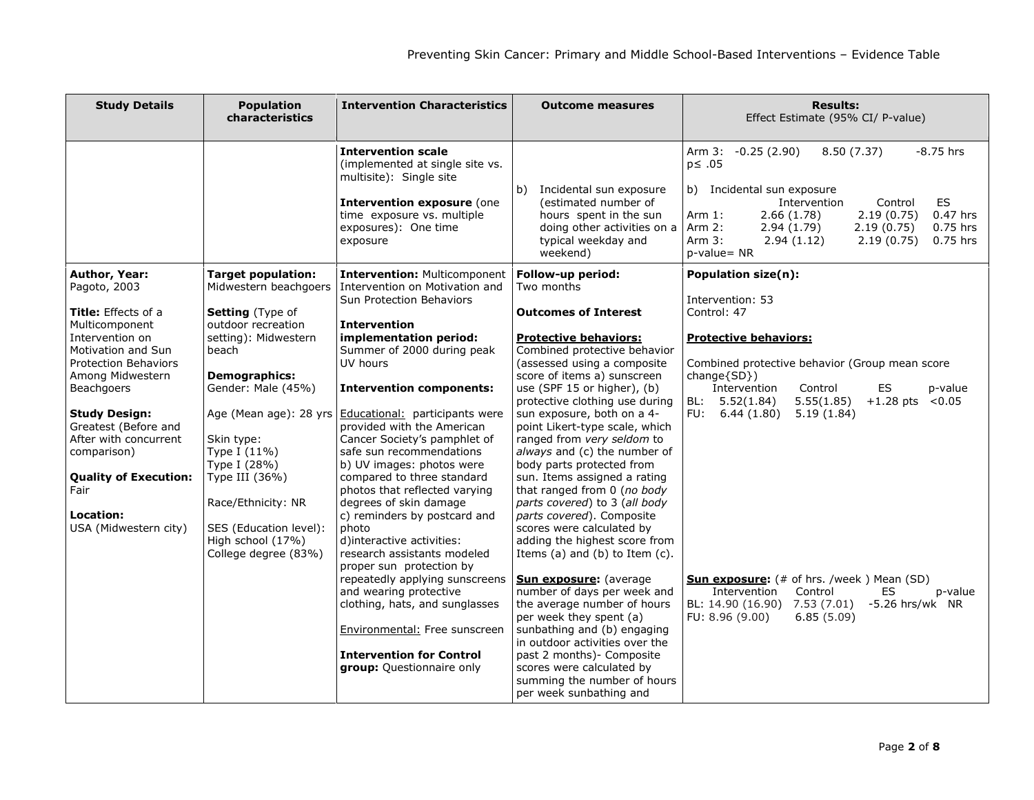| <b>Study Details</b>                                                                                                                                                                                                                                                                                                                                                 | <b>Population</b><br>characteristics                                                                                                                                                                                                                                                                                                               | <b>Intervention Characteristics</b>                                                                                                                                                                                                                                                                                                                                                                                                                                                                                                                                                                                                                                                                                                                                                                                                      | <b>Outcome measures</b>                                                                                                                                                                                                                                                                                                                                                                                                                                                                                                                                                                                                                                                                                                                                                                                                                                                                                                                                                      | <b>Results:</b><br>Effect Estimate (95% CI/ P-value)                                                                                                                                                                                                                                                                                                                                                                                                                            |
|----------------------------------------------------------------------------------------------------------------------------------------------------------------------------------------------------------------------------------------------------------------------------------------------------------------------------------------------------------------------|----------------------------------------------------------------------------------------------------------------------------------------------------------------------------------------------------------------------------------------------------------------------------------------------------------------------------------------------------|------------------------------------------------------------------------------------------------------------------------------------------------------------------------------------------------------------------------------------------------------------------------------------------------------------------------------------------------------------------------------------------------------------------------------------------------------------------------------------------------------------------------------------------------------------------------------------------------------------------------------------------------------------------------------------------------------------------------------------------------------------------------------------------------------------------------------------------|------------------------------------------------------------------------------------------------------------------------------------------------------------------------------------------------------------------------------------------------------------------------------------------------------------------------------------------------------------------------------------------------------------------------------------------------------------------------------------------------------------------------------------------------------------------------------------------------------------------------------------------------------------------------------------------------------------------------------------------------------------------------------------------------------------------------------------------------------------------------------------------------------------------------------------------------------------------------------|---------------------------------------------------------------------------------------------------------------------------------------------------------------------------------------------------------------------------------------------------------------------------------------------------------------------------------------------------------------------------------------------------------------------------------------------------------------------------------|
|                                                                                                                                                                                                                                                                                                                                                                      |                                                                                                                                                                                                                                                                                                                                                    | <b>Intervention scale</b><br>(implemented at single site vs.<br>multisite): Single site<br>Intervention exposure (one<br>time exposure vs. multiple<br>exposures): One time<br>exposure                                                                                                                                                                                                                                                                                                                                                                                                                                                                                                                                                                                                                                                  | Incidental sun exposure<br>b)<br>(estimated number of<br>hours spent in the sun<br>doing other activities on a<br>typical weekday and<br>weekend)                                                                                                                                                                                                                                                                                                                                                                                                                                                                                                                                                                                                                                                                                                                                                                                                                            | $-8.75$ hrs<br>8.50 (7.37)<br>Arm 3: -0.25 (2.90)<br>$p \leq .05$<br>b) Incidental sun exposure<br>ES<br>Intervention<br>Control<br>2.66(1.78)<br>2.19(0.75)<br>$0.47$ hrs<br>Arm $1:$<br>2.94(1.79)<br>2.19(0.75)<br>$0.75$ hrs<br>Arm $2:$<br>Arm $3:$<br>0.75 hrs<br>2.94(1.12)<br>2.19(0.75)<br>p-value= NR                                                                                                                                                                 |
| Author, Year:<br>Pagoto, 2003<br><b>Title:</b> Effects of a<br>Multicomponent<br>Intervention on<br>Motivation and Sun<br><b>Protection Behaviors</b><br>Among Midwestern<br><b>Beachgoers</b><br><b>Study Design:</b><br>Greatest (Before and<br>After with concurrent<br>comparison)<br><b>Quality of Execution:</b><br>Fair<br>Location:<br>USA (Midwestern city) | <b>Target population:</b><br>Midwestern beachgoers<br><b>Setting</b> (Type of<br>outdoor recreation<br>setting): Midwestern<br>beach<br><b>Demographics:</b><br>Gender: Male (45%)<br>Skin type:<br>Type I $(11\%)$<br>Type I (28%)<br>Type III (36%)<br>Race/Ethnicity: NR<br>SES (Education level):<br>High school (17%)<br>College degree (83%) | <b>Intervention: Multicomponent</b><br>Intervention on Motivation and<br><b>Sun Protection Behaviors</b><br><b>Intervention</b><br>implementation period:<br>Summer of 2000 during peak<br>UV hours<br>Intervention components:<br>Age (Mean age): 28 yrs Educational: participants were<br>provided with the American<br>Cancer Society's pamphlet of<br>safe sun recommendations<br>b) UV images: photos were<br>compared to three standard<br>photos that reflected varying<br>degrees of skin damage<br>c) reminders by postcard and<br>photo<br>d)interactive activities:<br>research assistants modeled<br>proper sun protection by<br>repeatedly applying sunscreens<br>and wearing protective<br>clothing, hats, and sunglasses<br>Environmental: Free sunscreen<br><b>Intervention for Control</b><br>group: Questionnaire only | Follow-up period:<br>Two months<br><b>Outcomes of Interest</b><br><b>Protective behaviors:</b><br>Combined protective behavior<br>(assessed using a composite<br>score of items a) sunscreen<br>use (SPF 15 or higher), (b)<br>protective clothing use during<br>sun exposure, both on a 4-<br>point Likert-type scale, which<br>ranged from very seldom to<br>always and (c) the number of<br>body parts protected from<br>sun. Items assigned a rating<br>that ranged from 0 (no body<br>parts covered) to 3 (all body<br>parts covered). Composite<br>scores were calculated by<br>adding the highest score from<br>Items $(a)$ and $(b)$ to Item $(c)$ .<br><b>Sun exposure:</b> (average<br>number of days per week and<br>the average number of hours<br>per week they spent (a)<br>sunbathing and (b) engaging<br>in outdoor activities over the<br>past 2 months) - Composite<br>scores were calculated by<br>summing the number of hours<br>per week sunbathing and | Population size(n):<br>Intervention: 53<br>Control: 47<br><b>Protective behaviors:</b><br>Combined protective behavior (Group mean score<br>change{SD})<br>ES<br>Intervention<br>Control<br>p-value<br>5.55(1.85)<br>$+1.28$ pts <0.05<br>BL: 5.52(1.84)<br>FU: $6.44(1.80)$<br>5.19(1.84)<br><b>Sun exposure:</b> (# of hrs. /week ) Mean (SD)<br>Intervention<br>Control<br>ES<br>p-value<br>BL: 14.90 (16.90) 7.53 (7.01)<br>-5.26 hrs/wk NR<br>FU: 8.96(9.00)<br>6.85(5.09) |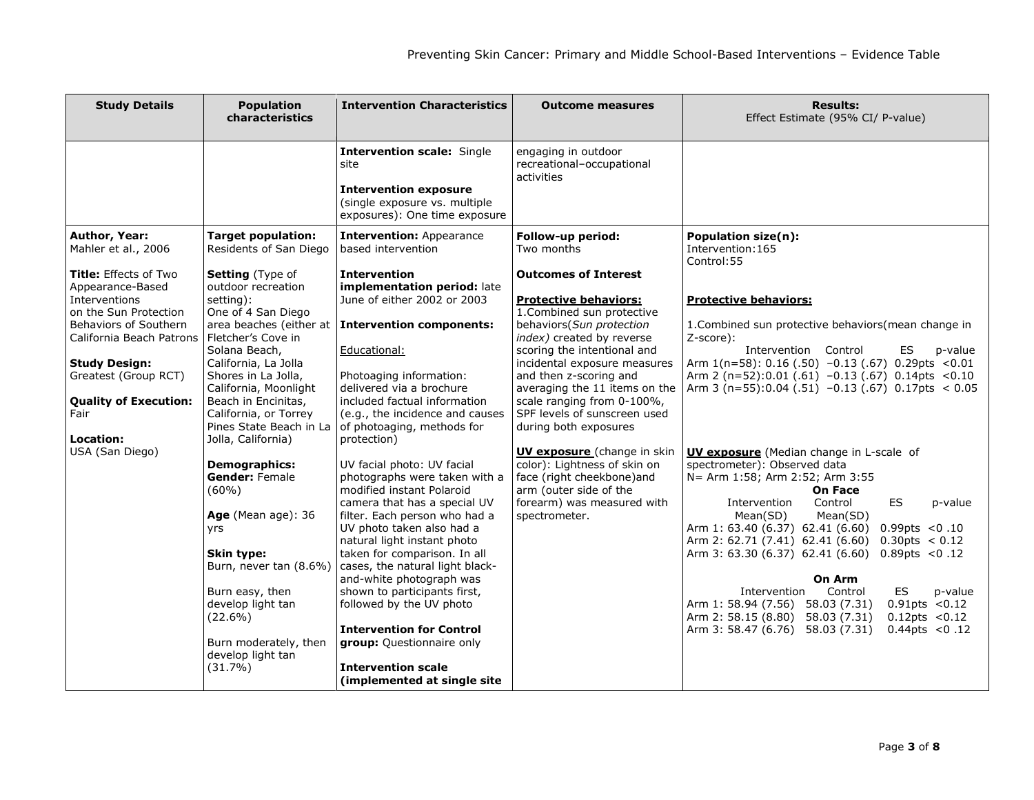| <b>Study Details</b>                                                                                                                                                                                                                                                                                            | <b>Population</b><br>characteristics                                                                                                                                                                                                                                                                                                                                                                                                                                                                                                                                                      | <b>Intervention Characteristics</b>                                                                                                                                                                                                                                                                                                                                                                                                                                                                                                                                                                                                                                                                                                                                                                                      | <b>Outcome measures</b>                                                                                                                                                                                                                                                                                                                                                                                                                                                                                                                                                            | <b>Results:</b><br>Effect Estimate (95% CI/ P-value)                                                                                                                                                                                                                                                                                                                                                                                                                                                                                                                                                                                                                                                                                                                                                                                                                                                                                                                               |
|-----------------------------------------------------------------------------------------------------------------------------------------------------------------------------------------------------------------------------------------------------------------------------------------------------------------|-------------------------------------------------------------------------------------------------------------------------------------------------------------------------------------------------------------------------------------------------------------------------------------------------------------------------------------------------------------------------------------------------------------------------------------------------------------------------------------------------------------------------------------------------------------------------------------------|--------------------------------------------------------------------------------------------------------------------------------------------------------------------------------------------------------------------------------------------------------------------------------------------------------------------------------------------------------------------------------------------------------------------------------------------------------------------------------------------------------------------------------------------------------------------------------------------------------------------------------------------------------------------------------------------------------------------------------------------------------------------------------------------------------------------------|------------------------------------------------------------------------------------------------------------------------------------------------------------------------------------------------------------------------------------------------------------------------------------------------------------------------------------------------------------------------------------------------------------------------------------------------------------------------------------------------------------------------------------------------------------------------------------|------------------------------------------------------------------------------------------------------------------------------------------------------------------------------------------------------------------------------------------------------------------------------------------------------------------------------------------------------------------------------------------------------------------------------------------------------------------------------------------------------------------------------------------------------------------------------------------------------------------------------------------------------------------------------------------------------------------------------------------------------------------------------------------------------------------------------------------------------------------------------------------------------------------------------------------------------------------------------------|
|                                                                                                                                                                                                                                                                                                                 |                                                                                                                                                                                                                                                                                                                                                                                                                                                                                                                                                                                           | <b>Intervention scale: Single</b><br>site<br><b>Intervention exposure</b><br>(single exposure vs. multiple<br>exposures): One time exposure                                                                                                                                                                                                                                                                                                                                                                                                                                                                                                                                                                                                                                                                              | engaging in outdoor<br>recreational-occupational<br>activities                                                                                                                                                                                                                                                                                                                                                                                                                                                                                                                     |                                                                                                                                                                                                                                                                                                                                                                                                                                                                                                                                                                                                                                                                                                                                                                                                                                                                                                                                                                                    |
| Author, Year:<br>Mahler et al., 2006<br><b>Title: Effects of Two</b><br>Appearance-Based<br>Interventions<br>on the Sun Protection<br>Behaviors of Southern<br>California Beach Patrons<br><b>Study Design:</b><br>Greatest (Group RCT)<br><b>Quality of Execution:</b><br>Fair<br>Location:<br>USA (San Diego) | <b>Target population:</b><br>Residents of San Diego<br>Setting (Type of<br>outdoor recreation<br>setting):<br>One of 4 San Diego<br>area beaches (either at<br>Fletcher's Cove in<br>Solana Beach,<br>California, La Jolla<br>Shores in La Jolla,<br>California, Moonlight<br>Beach in Encinitas,<br>California, or Torrey<br>Pines State Beach in La<br>Jolla, California)<br><b>Demographics:</b><br><b>Gender: Female</b><br>(60%)<br>Age (Mean age): 36<br>yrs<br>Skin type:<br>Burn, never tan (8.6%)<br>Burn easy, then<br>develop light tan<br>$(22.6\%)$<br>Burn moderately, then | <b>Intervention: Appearance</b><br>based intervention<br><b>Intervention</b><br>implementation period: late<br>June of either 2002 or 2003<br><b>Intervention components:</b><br>Educational:<br>Photoaging information:<br>delivered via a brochure<br>included factual information<br>(e.g., the incidence and causes<br>of photoaging, methods for<br>protection)<br>UV facial photo: UV facial<br>photographs were taken with a<br>modified instant Polaroid<br>camera that has a special UV<br>filter. Each person who had a<br>UV photo taken also had a<br>natural light instant photo<br>taken for comparison. In all<br>cases, the natural light black-<br>and-white photograph was<br>shown to participants first,<br>followed by the UV photo<br><b>Intervention for Control</b><br>group: Questionnaire only | Follow-up period:<br>Two months<br><b>Outcomes of Interest</b><br><b>Protective behaviors:</b><br>1. Combined sun protective<br>behaviors(Sun protection<br>index) created by reverse<br>scoring the intentional and<br>incidental exposure measures<br>and then z-scoring and<br>averaging the 11 items on the<br>scale ranging from 0-100%,<br>SPF levels of sunscreen used<br>during both exposures<br><b>UV exposure</b> (change in skin<br>color): Lightness of skin on<br>face (right cheekbone)and<br>arm (outer side of the<br>forearm) was measured with<br>spectrometer. | Population size(n):<br>Intervention: 165<br>Control: 55<br><b>Protective behaviors:</b><br>1. Combined sun protective behaviors (mean change in<br>Z-score):<br>Intervention Control<br>ES<br>p-value<br>Arm $1(n=58)$ : 0.16 (.50) -0.13 (.67) 0.29pts <0.01<br>Arm 2 (n=52):0.01 (.61) $-0.13$ (.67) 0.14pts <0.10<br>Arm 3 (n=55):0.04 (.51) -0.13 (.67) 0.17pts $<$ 0.05<br><b>UV exposure</b> (Median change in L-scale of<br>spectrometer): Observed data<br>N= Arm 1:58; Arm 2:52; Arm 3:55<br><b>On Face</b><br>ES<br>Intervention<br>Control<br>p-value<br>Mean(SD)<br>Mean(SD)<br>Arm 1: 63.40 (6.37) 62.41 (6.60)<br>0.99pts < 0.10<br>0.30pts < 0.12<br>Arm 2: 62.71 (7.41) 62.41 (6.60)<br>Arm 3: 63.30 (6.37) 62.41 (6.60)<br>0.89pts < 0.12<br>On Arm<br>Intervention<br>ES<br>Control<br>p-value<br>Arm 1: 58.94 (7.56) 58.03 (7.31)<br>0.91pts < 0.12<br>0.12pts < 0.12<br>Arm 2: 58.15 (8.80) 58.03 (7.31)<br>Arm 3: 58.47 (6.76) 58.03 (7.31)<br>0.44pts < 0.12 |
|                                                                                                                                                                                                                                                                                                                 | develop light tan<br>(31.7%)                                                                                                                                                                                                                                                                                                                                                                                                                                                                                                                                                              | <b>Intervention scale</b><br>(implemented at single site                                                                                                                                                                                                                                                                                                                                                                                                                                                                                                                                                                                                                                                                                                                                                                 |                                                                                                                                                                                                                                                                                                                                                                                                                                                                                                                                                                                    |                                                                                                                                                                                                                                                                                                                                                                                                                                                                                                                                                                                                                                                                                                                                                                                                                                                                                                                                                                                    |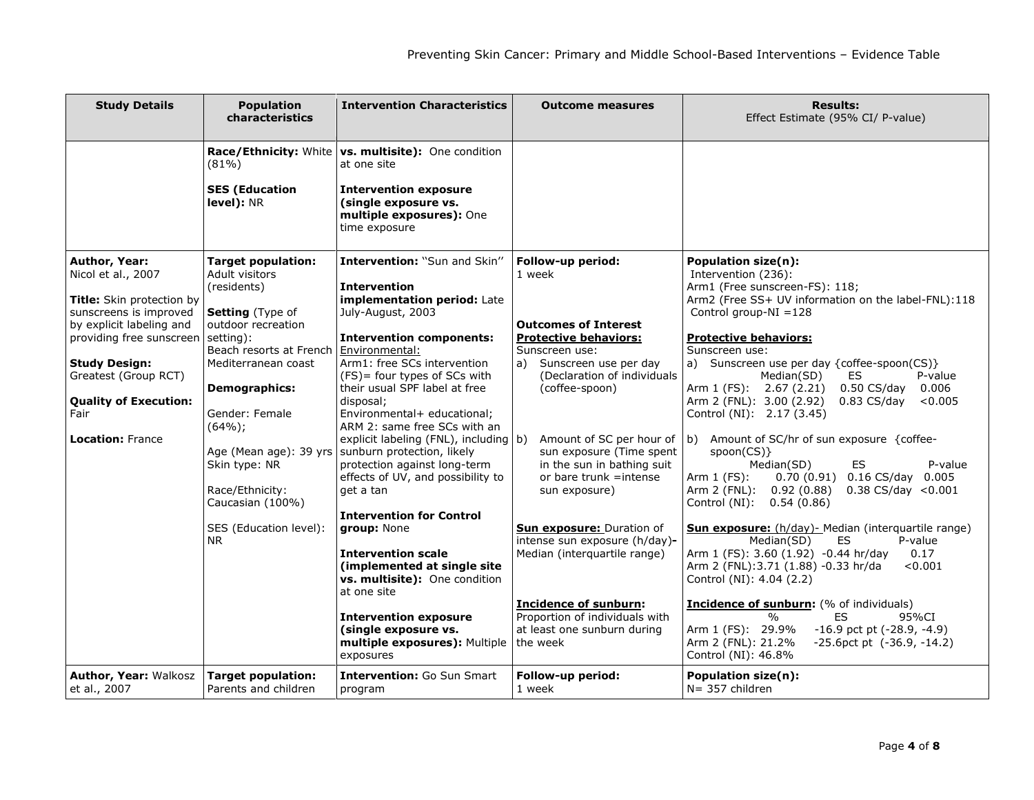| <b>Study Details</b>                                                           | <b>Population</b><br>characteristics                                           | <b>Intervention Characteristics</b>                                                                                                                   | <b>Outcome measures</b>                                                                                                          | <b>Results:</b><br>Effect Estimate (95% CI/ P-value)                                                                                                                                                                                               |
|--------------------------------------------------------------------------------|--------------------------------------------------------------------------------|-------------------------------------------------------------------------------------------------------------------------------------------------------|----------------------------------------------------------------------------------------------------------------------------------|----------------------------------------------------------------------------------------------------------------------------------------------------------------------------------------------------------------------------------------------------|
|                                                                                | $(81\%)$                                                                       | Race/Ethnicity: White   vs. multisite): One condition<br>at one site                                                                                  |                                                                                                                                  |                                                                                                                                                                                                                                                    |
|                                                                                | <b>SES (Education</b><br>level): NR                                            | <b>Intervention exposure</b><br>(single exposure vs.<br>multiple exposures): One<br>time exposure                                                     |                                                                                                                                  |                                                                                                                                                                                                                                                    |
| <b>Author, Year:</b><br>Nicol et al., 2007<br>Title: Skin protection by        | <b>Target population:</b><br>Adult visitors<br>(residents)                     | Intervention: "Sun and Skin"<br><b>Intervention</b><br>implementation period: Late                                                                    | Follow-up period:<br>1 week                                                                                                      | Population size(n):<br>Intervention (236):<br>Arm1 (Free sunscreen-FS): 118;<br>Arm2 (Free SS+ UV information on the label-FNL):118                                                                                                                |
| sunscreens is improved<br>by explicit labeling and<br>providing free sunscreen | Setting (Type of<br>outdoor recreation<br>setting):                            | July-August, 2003<br><b>Intervention components:</b>                                                                                                  | <b>Outcomes of Interest</b><br><b>Protective behaviors:</b>                                                                      | Control group- $NI = 128$<br><b>Protective behaviors:</b>                                                                                                                                                                                          |
| <b>Study Design:</b><br>Greatest (Group RCT)                                   | Beach resorts at French<br>Mediterranean coast                                 | Environmental:<br>Arm1: free SCs intervention<br>(FS) = four types of SCs with<br>their usual SPF label at free                                       | Sunscreen use:<br>Sunscreen use per day<br>a)<br>(Declaration of individuals                                                     | Sunscreen use:<br>a) Sunscreen use per day {coffee-spoon(CS)}<br><b>ES</b><br>P-value<br>Median(SD)<br>Arm 1 (FS): 2.67 (2.21)<br>$0.50$ CS/day<br>0.006                                                                                           |
| <b>Quality of Execution:</b><br>Fair                                           | <b>Demographics:</b><br>Gender: Female<br>(64%);                               | disposal;<br>Environmental+ educational;<br>ARM 2: same free SCs with an                                                                              | (coffee-spoon)                                                                                                                   | Arm 2 (FNL): 3.00 (2.92)<br>$0.83 \text{ CS/day}$<br>< 0.005<br>Control (NI): 2.17 (3.45)                                                                                                                                                          |
| <b>Location: France</b>                                                        | Age (Mean age): 39 yrs<br>Skin type: NR<br>Race/Ethnicity:<br>Caucasian (100%) | explicit labeling (FNL), including b)<br>sunburn protection, likely<br>protection against long-term<br>effects of UV, and possibility to<br>get a tan | Amount of SC per hour of<br>sun exposure (Time spent<br>in the sun in bathing suit<br>or bare trunk $=$ intense<br>sun exposure) | b) Amount of SC/hr of sun exposure {coffee-<br>$spoon(CS)$ }<br><b>ES</b><br>Median(SD)<br>P-value<br>0.70 (0.91) 0.16 CS/day 0.005<br>Arm $1$ (FS):<br>Arm 2 (FNL):<br>0.92(0.88)<br>$0.38 \text{ CS/day} < 0.001$<br>Control (NI):<br>0.54(0.86) |
|                                                                                | SES (Education level):<br>NR                                                   | <b>Intervention for Control</b><br>group: None<br><b>Intervention scale</b><br>(implemented at single site<br>vs. multisite): One condition           | <b>Sun exposure: Duration of</b><br>intense sun exposure (h/day)-<br>Median (interquartile range)                                | <b>Sun exposure:</b> (h/day)- Median (interquartile range)<br>Median(SD)<br>ES.<br>P-value<br>Arm 1 (FS): 3.60 (1.92) -0.44 hr/day<br>0.17<br>< 0.001<br>Arm 2 (FNL): 3.71 (1.88) - 0.33 hr/da<br>Control (NI): 4.04 (2.2)                         |
|                                                                                |                                                                                | at one site<br><b>Intervention exposure</b><br>(single exposure vs.<br>multiple exposures): Multiple<br>exposures                                     | <b>Incidence of sunburn:</b><br>Proportion of individuals with<br>at least one sunburn during<br>the week                        | <b>Incidence of sunburn:</b> (% of individuals)<br>0/2<br><b>ES</b><br>95%CI<br>Arm 1 (FS): 29.9%<br>$-16.9$ pct pt $(-28.9, -4.9)$<br>Arm 2 (FNL): 21.2%<br>$-25.6$ pct pt $(-36.9, -14.2)$<br>Control (NI): 46.8%                                |
| <b>Author, Year: Walkosz</b><br>et al., 2007                                   | <b>Target population:</b><br>Parents and children                              | <b>Intervention: Go Sun Smart</b><br>program                                                                                                          | Follow-up period:<br>1 week                                                                                                      | Population size(n):<br>$N = 357$ children                                                                                                                                                                                                          |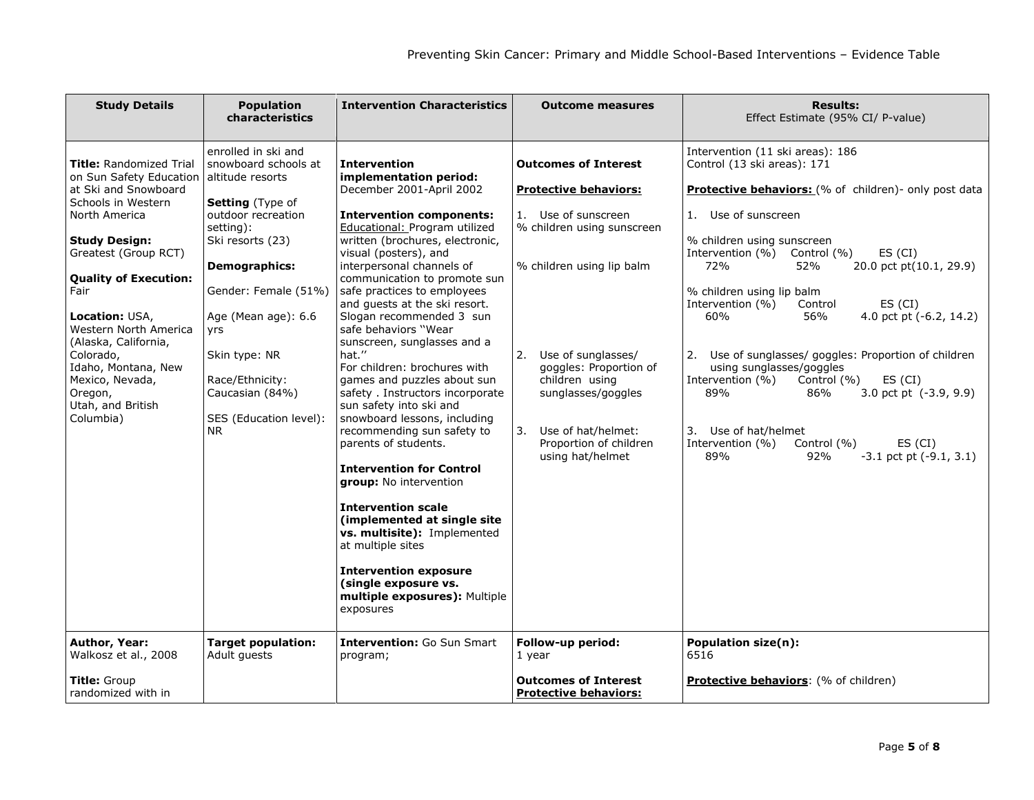| <b>Study Details</b>                                                                                                                                                                                                                                                                                                                                                                                            | <b>Population</b><br>characteristics                                                                                                                                                                                                                                                                                                          | <b>Intervention Characteristics</b>                                                                                                                                                                                                                                                                                                                                                                                                                                                                                                                                                                                                                                                                                                                                                                                                                                                                                                                                           | <b>Outcome measures</b>                                                                                                                                                                                                                                                                                                                    | <b>Results:</b><br>Effect Estimate (95% CI/ P-value)                                                                                                                                                                                                                                                                                                                                                                                                                                                                                                                                                                                                                                                             |
|-----------------------------------------------------------------------------------------------------------------------------------------------------------------------------------------------------------------------------------------------------------------------------------------------------------------------------------------------------------------------------------------------------------------|-----------------------------------------------------------------------------------------------------------------------------------------------------------------------------------------------------------------------------------------------------------------------------------------------------------------------------------------------|-------------------------------------------------------------------------------------------------------------------------------------------------------------------------------------------------------------------------------------------------------------------------------------------------------------------------------------------------------------------------------------------------------------------------------------------------------------------------------------------------------------------------------------------------------------------------------------------------------------------------------------------------------------------------------------------------------------------------------------------------------------------------------------------------------------------------------------------------------------------------------------------------------------------------------------------------------------------------------|--------------------------------------------------------------------------------------------------------------------------------------------------------------------------------------------------------------------------------------------------------------------------------------------------------------------------------------------|------------------------------------------------------------------------------------------------------------------------------------------------------------------------------------------------------------------------------------------------------------------------------------------------------------------------------------------------------------------------------------------------------------------------------------------------------------------------------------------------------------------------------------------------------------------------------------------------------------------------------------------------------------------------------------------------------------------|
| <b>Title: Randomized Trial</b><br>on Sun Safety Education<br>at Ski and Snowboard<br>Schools in Western<br>North America<br><b>Study Design:</b><br>Greatest (Group RCT)<br><b>Quality of Execution:</b><br>Fair<br>Location: USA,<br>Western North America<br>(Alaska, California,<br>Colorado,<br>Idaho, Montana, New<br>Mexico, Nevada,<br>Oregon,<br>Utah, and British<br>Columbia)<br><b>Author, Year:</b> | enrolled in ski and<br>snowboard schools at<br>altitude resorts<br>Setting (Type of<br>outdoor recreation<br>setting):<br>Ski resorts (23)<br><b>Demographics:</b><br>Gender: Female (51%)<br>Age (Mean age): 6.6<br>yrs<br>Skin type: NR<br>Race/Ethnicity:<br>Caucasian (84%)<br>SES (Education level):<br>NR.<br><b>Target population:</b> | <b>Intervention</b><br>implementation period:<br>December 2001-April 2002<br><b>Intervention components:</b><br>Educational: Program utilized<br>written (brochures, electronic,<br>visual (posters), and<br>interpersonal channels of<br>communication to promote sun<br>safe practices to employees<br>and quests at the ski resort.<br>Slogan recommended 3 sun<br>safe behaviors "Wear<br>sunscreen, sunglasses and a<br>hat."<br>For children: brochures with<br>games and puzzles about sun<br>safety. Instructors incorporate<br>sun safety into ski and<br>snowboard lessons, including<br>recommending sun safety to<br>parents of students.<br><b>Intervention for Control</b><br>group: No intervention<br><b>Intervention scale</b><br>(implemented at single site<br>vs. multisite): Implemented<br>at multiple sites<br><b>Intervention exposure</b><br>(single exposure vs.<br>multiple exposures): Multiple<br>exposures<br><b>Intervention: Go Sun Smart</b> | <b>Outcomes of Interest</b><br><b>Protective behaviors:</b><br>1. Use of sunscreen<br>% children using sunscreen<br>% children using lip balm<br>Use of sunglasses/<br>2.<br>goggles: Proportion of<br>children using<br>sunglasses/goggles<br>Use of hat/helmet:<br>3.<br>Proportion of children<br>using hat/helmet<br>Follow-up period: | Intervention (11 ski areas): 186<br>Control (13 ski areas): 171<br>Protective behaviors: (% of children)- only post data<br>1. Use of sunscreen<br>% children using sunscreen<br>Intervention (%) Control (%)<br>ES (CI)<br>72%<br>52%<br>20.0 pct pt(10.1, 29.9)<br>% children using lip balm<br>Intervention (%)<br>Control<br>ES (CI)<br>60%<br>56%<br>4.0 pct pt (-6.2, 14.2)<br>Use of sunglasses/ goggles: Proportion of children<br>2.<br>using sunglasses/goggles<br>Intervention (%)<br>Control (%)<br>ES (CI)<br>89%<br>86%<br>3.0 pct pt (-3.9, 9.9)<br>3. Use of hat/helmet<br>Intervention (%)<br>Control (%)<br>ES (CI)<br>89%<br>92%<br>$-3.1$ pct pt $(-9.1, 3.1)$<br><b>Population size(n):</b> |
| Walkosz et al., 2008<br><b>Title:</b> Group<br>randomized with in                                                                                                                                                                                                                                                                                                                                               | Adult quests                                                                                                                                                                                                                                                                                                                                  | program;                                                                                                                                                                                                                                                                                                                                                                                                                                                                                                                                                                                                                                                                                                                                                                                                                                                                                                                                                                      | 1 year<br><b>Outcomes of Interest</b><br><b>Protective behaviors:</b>                                                                                                                                                                                                                                                                      | 6516<br><b>Protective behaviors:</b> (% of children)                                                                                                                                                                                                                                                                                                                                                                                                                                                                                                                                                                                                                                                             |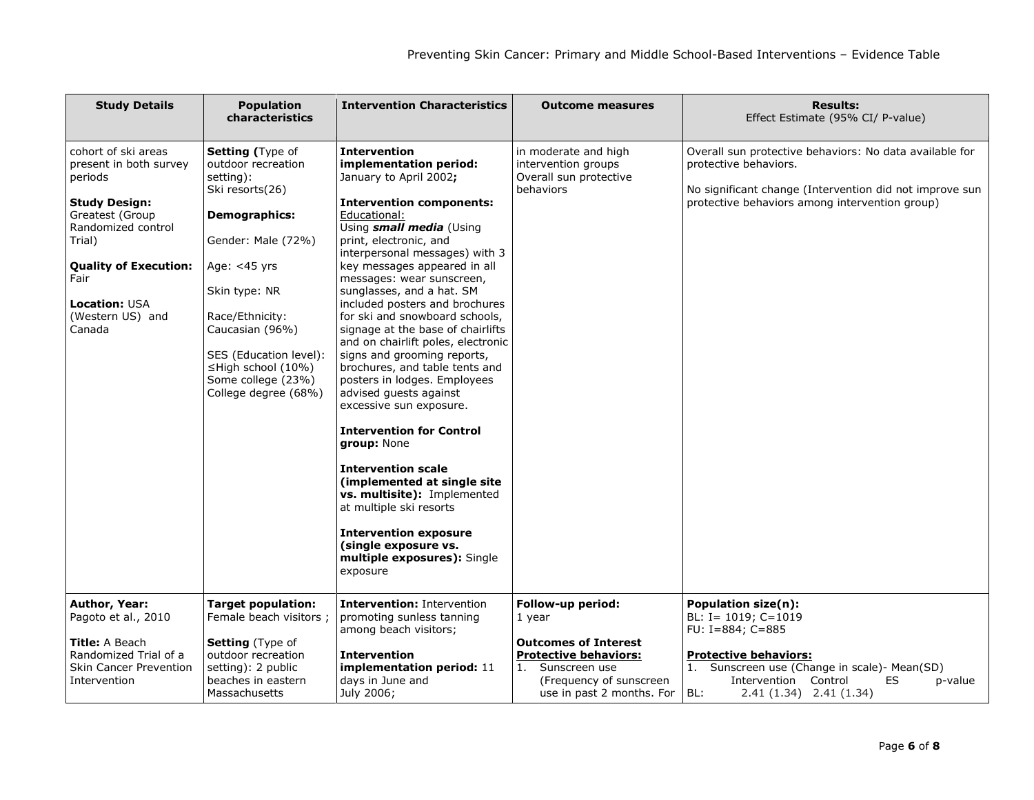| <b>Study Details</b>                                                                                                                                                                                                              | <b>Population</b><br>characteristics                                                                                                                                                                                                                                                                   | <b>Intervention Characteristics</b>                                                                                                                                                                                                                                                                                                                                                                                                                                                                                                                                                                                                                                                                                                                                                                                                                                                          | <b>Outcome measures</b>                                                                                                                                             | <b>Results:</b><br>Effect Estimate (95% CI/ P-value)                                                                                                                                                                                   |
|-----------------------------------------------------------------------------------------------------------------------------------------------------------------------------------------------------------------------------------|--------------------------------------------------------------------------------------------------------------------------------------------------------------------------------------------------------------------------------------------------------------------------------------------------------|----------------------------------------------------------------------------------------------------------------------------------------------------------------------------------------------------------------------------------------------------------------------------------------------------------------------------------------------------------------------------------------------------------------------------------------------------------------------------------------------------------------------------------------------------------------------------------------------------------------------------------------------------------------------------------------------------------------------------------------------------------------------------------------------------------------------------------------------------------------------------------------------|---------------------------------------------------------------------------------------------------------------------------------------------------------------------|----------------------------------------------------------------------------------------------------------------------------------------------------------------------------------------------------------------------------------------|
| cohort of ski areas<br>present in both survey<br>periods<br><b>Study Design:</b><br>Greatest (Group<br>Randomized control<br>Trial)<br><b>Quality of Execution:</b><br>Fair<br><b>Location: USA</b><br>(Western US) and<br>Canada | <b>Setting (Type of</b><br>outdoor recreation<br>setting):<br>Ski resorts(26)<br><b>Demographics:</b><br>Gender: Male (72%)<br>Age: <45 yrs<br>Skin type: NR<br>Race/Ethnicity:<br>Caucasian (96%)<br>SES (Education level):<br>$\leq$ High school (10%)<br>Some college (23%)<br>College degree (68%) | <b>Intervention</b><br>implementation period:<br>January to April 2002;<br><b>Intervention components:</b><br>Educational:<br>Using <i>small media</i> (Using<br>print, electronic, and<br>interpersonal messages) with 3<br>key messages appeared in all<br>messages: wear sunscreen,<br>sunglasses, and a hat. SM<br>included posters and brochures<br>for ski and snowboard schools,<br>signage at the base of chairlifts<br>and on chairlift poles, electronic<br>signs and grooming reports,<br>brochures, and table tents and<br>posters in lodges. Employees<br>advised guests against<br>excessive sun exposure.<br><b>Intervention for Control</b><br>group: None<br>Intervention scale<br>(implemented at single site<br>vs. multisite): Implemented<br>at multiple ski resorts<br><b>Intervention exposure</b><br>(single exposure vs.<br>multiple exposures): Single<br>exposure | in moderate and high<br>intervention groups<br>Overall sun protective<br>behaviors                                                                                  | Overall sun protective behaviors: No data available for<br>protective behaviors.<br>No significant change (Intervention did not improve sun<br>protective behaviors among intervention group)                                          |
| Author, Year:<br>Pagoto et al., 2010<br><b>Title:</b> A Beach<br>Randomized Trial of a<br><b>Skin Cancer Prevention</b><br>Intervention                                                                                           | <b>Target population:</b><br>Female beach visitors ;<br><b>Setting</b> (Type of<br>outdoor recreation<br>setting): 2 public<br>beaches in eastern<br>Massachusetts                                                                                                                                     | <b>Intervention: Intervention</b><br>promoting sunless tanning<br>among beach visitors;<br><b>Intervention</b><br>implementation period: 11<br>days in June and<br>July 2006;                                                                                                                                                                                                                                                                                                                                                                                                                                                                                                                                                                                                                                                                                                                | Follow-up period:<br>1 year<br><b>Outcomes of Interest</b><br><b>Protective behaviors:</b><br>Sunscreen use<br>(Frequency of sunscreen<br>use in past 2 months. For | <b>Population size(n):</b><br>BL: I= $1019$ ; C=1019<br>FU: I=884; C=885<br><b>Protective behaviors:</b><br>1. Sunscreen use (Change in scale) - Mean(SD)<br>Intervention Control<br>ES<br>p-value<br>BL:<br>$2.41(1.34)$ $2.41(1.34)$ |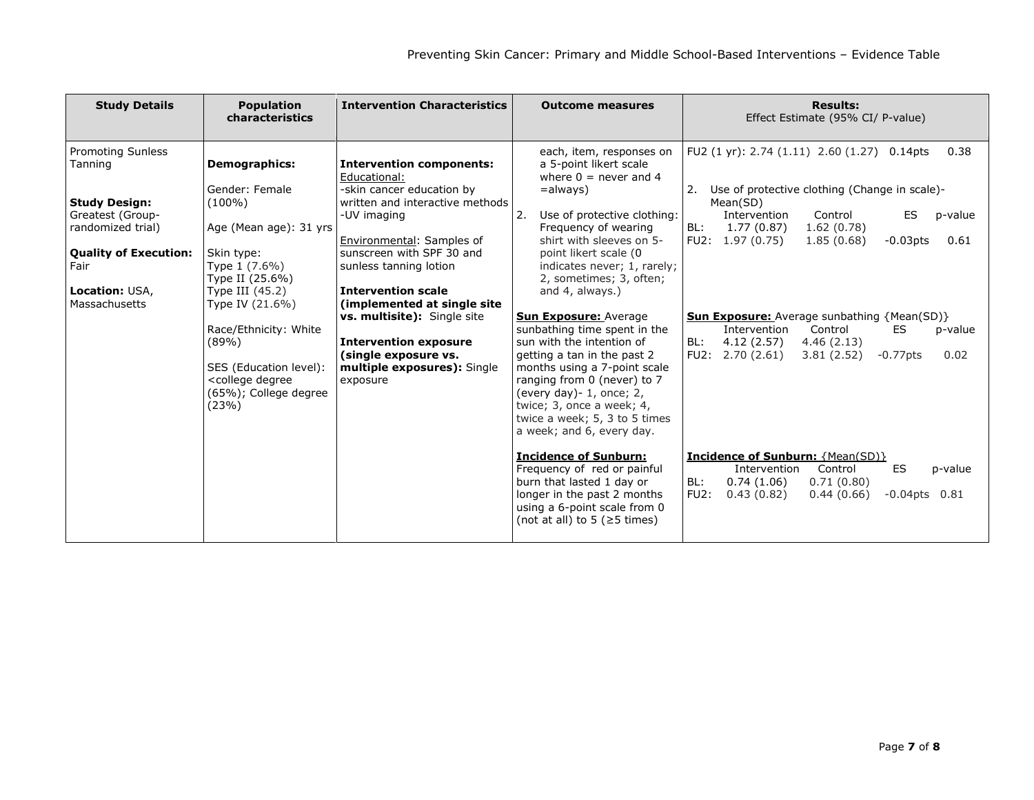| <b>Study Details</b>                                                                                                                                                                   | <b>Population</b><br>characteristics                                                                                                                                                                                                                                                                   | <b>Intervention Characteristics</b>                                                                                                                                                                                                                                                                                                                                                                               | <b>Outcome measures</b>                                                                                                                                                                                                                                                                                                                                                                                                                                                                                                                                                                                             | <b>Results:</b><br>Effect Estimate (95% CI/ P-value)                                                                                                                                                                                                                                                                                                                                                                                                        |
|----------------------------------------------------------------------------------------------------------------------------------------------------------------------------------------|--------------------------------------------------------------------------------------------------------------------------------------------------------------------------------------------------------------------------------------------------------------------------------------------------------|-------------------------------------------------------------------------------------------------------------------------------------------------------------------------------------------------------------------------------------------------------------------------------------------------------------------------------------------------------------------------------------------------------------------|---------------------------------------------------------------------------------------------------------------------------------------------------------------------------------------------------------------------------------------------------------------------------------------------------------------------------------------------------------------------------------------------------------------------------------------------------------------------------------------------------------------------------------------------------------------------------------------------------------------------|-------------------------------------------------------------------------------------------------------------------------------------------------------------------------------------------------------------------------------------------------------------------------------------------------------------------------------------------------------------------------------------------------------------------------------------------------------------|
| <b>Promoting Sunless</b><br>Tanning<br><b>Study Design:</b><br>Greatest (Group-<br>randomized trial)<br><b>Quality of Execution:</b><br>Fair<br><b>Location: USA,</b><br>Massachusetts | <b>Demographics:</b><br>Gender: Female<br>$(100\%)$<br>Age (Mean age): 31 yrs<br>Skin type:<br>Type 1 (7.6%)<br>Type II (25.6%)<br>Type III $(45.2)$<br>Type IV (21.6%)<br>Race/Ethnicity: White<br>(89%)<br>SES (Education level):<br><college degree<br="">(65%); College degree<br/>(23%)</college> | <b>Intervention components:</b><br>Educational:<br>-skin cancer education by<br>written and interactive methods<br>-UV imaging<br>Environmental: Samples of<br>sunscreen with SPF 30 and<br>sunless tanning lotion<br><b>Intervention scale</b><br>(implemented at single site)<br>vs. multisite): Single site<br><b>Intervention exposure</b><br>(single exposure vs.<br>multiple exposures): Single<br>exposure | each, item, responses on<br>a 5-point likert scale<br>where $0 =$ never and 4<br>$=$ always $)$<br>Use of protective clothing:<br>2.<br>Frequency of wearing<br>shirt with sleeves on 5-<br>point likert scale (0<br>indicates never; 1, rarely;<br>2, sometimes; 3, often;<br>and 4, always.)<br><b>Sun Exposure: Average</b><br>sunbathing time spent in the<br>sun with the intention of<br>getting a tan in the past 2<br>months using a 7-point scale<br>ranging from 0 (never) to 7<br>(every day) $-1$ , once; 2,<br>twice; 3, once a week; 4,<br>twice a week; 5, 3 to 5 times<br>a week; and 6, every day. | FU2 (1 yr): 2.74 (1.11) 2.60 (1.27) 0.14pts<br>0.38<br>2. Use of protective clothing (Change in scale)-<br>Mean(SD)<br>Intervention<br>Control<br>ES<br>p-value<br>BL:<br>1.77(0.87)<br>1.62(0.78)<br>FU2: 1.97 (0.75)<br>1.85(0.68)<br>$-0.03$ pts<br>0.61<br><b>Sun Exposure:</b> Average sunbathing {Mean(SD)}<br>Intervention<br>Control<br>ES<br>p-value<br>BL:<br>4.12 (2.57)<br>4.46(2.13)<br>FU2: $2.70(2.61)$<br>3.81(2.52)<br>$-0.77$ pts<br>0.02 |
|                                                                                                                                                                                        |                                                                                                                                                                                                                                                                                                        |                                                                                                                                                                                                                                                                                                                                                                                                                   | <b>Incidence of Sunburn:</b><br>Frequency of red or painful<br>burn that lasted 1 day or<br>longer in the past 2 months<br>using a 6-point scale from 0<br>(not at all) to 5 ( $\geq$ 5 times)                                                                                                                                                                                                                                                                                                                                                                                                                      | <b>Incidence of Sunburn: {Mean(SD)}</b><br>Control<br>ES<br>Intervention<br>p-value<br>BL:<br>0.74(1.06)<br>0.71(0.80)<br>FU2:<br>0.43(0.82)<br>0.44(0.66)<br>$-0.04$ pts $0.81$                                                                                                                                                                                                                                                                            |